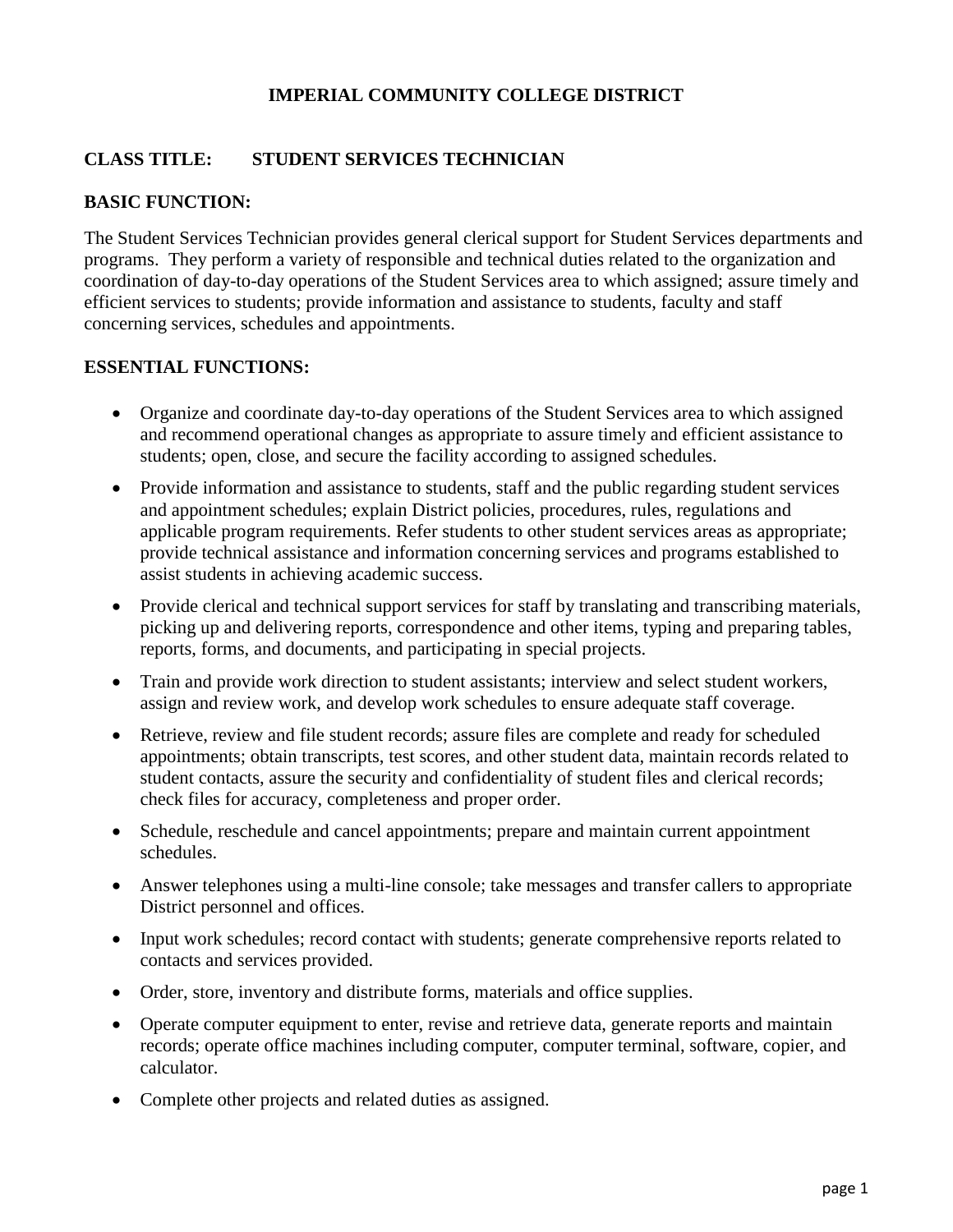# **IMPERIAL COMMUNITY COLLEGE DISTRICT**

# **CLASS TITLE: STUDENT SERVICES TECHNICIAN**

# **BASIC FUNCTION:**

The Student Services Technician provides general clerical support for Student Services departments and programs. They perform a variety of responsible and technical duties related to the organization and coordination of day-to-day operations of the Student Services area to which assigned; assure timely and efficient services to students; provide information and assistance to students, faculty and staff concerning services, schedules and appointments.

### **ESSENTIAL FUNCTIONS:**

- Organize and coordinate day-to-day operations of the Student Services area to which assigned and recommend operational changes as appropriate to assure timely and efficient assistance to students; open, close, and secure the facility according to assigned schedules.
- Provide information and assistance to students, staff and the public regarding student services and appointment schedules; explain District policies, procedures, rules, regulations and applicable program requirements. Refer students to other student services areas as appropriate; provide technical assistance and information concerning services and programs established to assist students in achieving academic success.
- Provide clerical and technical support services for staff by translating and transcribing materials, picking up and delivering reports, correspondence and other items, typing and preparing tables, reports, forms, and documents, and participating in special projects.
- Train and provide work direction to student assistants; interview and select student workers, assign and review work, and develop work schedules to ensure adequate staff coverage.
- Retrieve, review and file student records; assure files are complete and ready for scheduled appointments; obtain transcripts, test scores, and other student data, maintain records related to student contacts, assure the security and confidentiality of student files and clerical records; check files for accuracy, completeness and proper order.
- Schedule, reschedule and cancel appointments; prepare and maintain current appointment schedules.
- Answer telephones using a multi-line console; take messages and transfer callers to appropriate District personnel and offices.
- Input work schedules; record contact with students; generate comprehensive reports related to contacts and services provided.
- Order, store, inventory and distribute forms, materials and office supplies.
- Operate computer equipment to enter, revise and retrieve data, generate reports and maintain records; operate office machines including computer, computer terminal, software, copier, and calculator.
- Complete other projects and related duties as assigned.